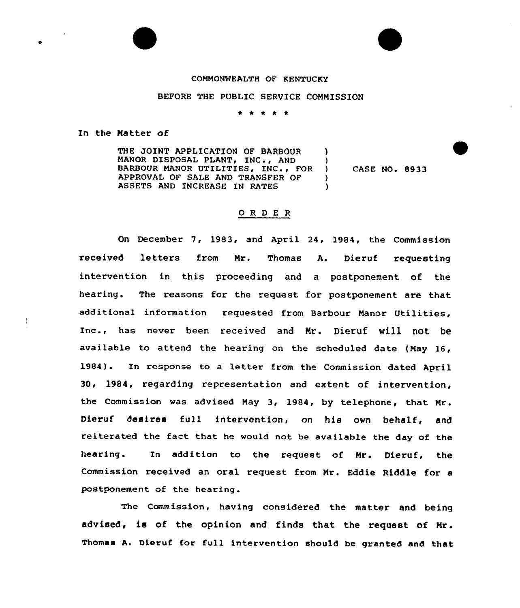## COMMONWEALTH OF KENTUCKY

## BEFORE THE PUBLIC SERVICE COMMISSION

\* \* \* \* \*

In the Matter of

THE JOINT APPLICATION OF BARBOUR MANOR DISPOSAL PLANT, INC., AND BARBOUR MANOR UTILITIES, INC., FOR APPROVAL OF SALE AND TRANSFER OF ASSETS AND INCREASE IN RATES )  $\frac{1}{1}$ ) CASE NO. 8933  $\lambda$ )

## 0 <sup>R</sup> <sup>D</sup> <sup>E</sup> <sup>R</sup>

On December 7, 1983, and April 24, 1984, the Commission received letters from Mr. Thomas A. Dieruf requesting intervention in this proceeding and a postponement of the hearing. The reasons for the request for postponement are that additional information requested from Barbour Manor Utilities, Inc., has never been received and Nr. Dieruf will not be available to attend the hearing on the scheduled date (May 16, 1984). In response to a letter from the Commission dated April 30, 1984, regarding representation and extent of intervention, the Commission was advised May 3, 1984, by telephone, that Mr. Dieruf desires full intervention, on his own behalf< and reiterated the fact that he would not be available the day of the hearing. In addition to the request of Mr. Dieruf, the Commission received an oral request from Mr. Eddie Riddle for a postponement of the hearing.

The Commission, having considered the matter and being advised, is of the opinion and finds that the request of Mr. Thomas A. Dieruf for full intervention should be granted and that